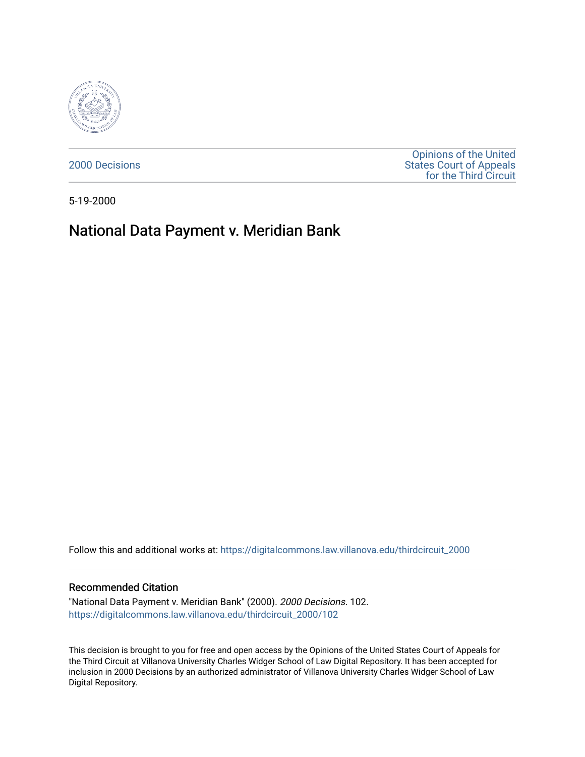

[2000 Decisions](https://digitalcommons.law.villanova.edu/thirdcircuit_2000)

[Opinions of the United](https://digitalcommons.law.villanova.edu/thirdcircuit)  [States Court of Appeals](https://digitalcommons.law.villanova.edu/thirdcircuit)  [for the Third Circuit](https://digitalcommons.law.villanova.edu/thirdcircuit) 

5-19-2000

## National Data Payment v. Meridian Bank

Follow this and additional works at: [https://digitalcommons.law.villanova.edu/thirdcircuit\\_2000](https://digitalcommons.law.villanova.edu/thirdcircuit_2000?utm_source=digitalcommons.law.villanova.edu%2Fthirdcircuit_2000%2F102&utm_medium=PDF&utm_campaign=PDFCoverPages) 

## Recommended Citation

"National Data Payment v. Meridian Bank" (2000). 2000 Decisions. 102. [https://digitalcommons.law.villanova.edu/thirdcircuit\\_2000/102](https://digitalcommons.law.villanova.edu/thirdcircuit_2000/102?utm_source=digitalcommons.law.villanova.edu%2Fthirdcircuit_2000%2F102&utm_medium=PDF&utm_campaign=PDFCoverPages)

This decision is brought to you for free and open access by the Opinions of the United States Court of Appeals for the Third Circuit at Villanova University Charles Widger School of Law Digital Repository. It has been accepted for inclusion in 2000 Decisions by an authorized administrator of Villanova University Charles Widger School of Law Digital Repository.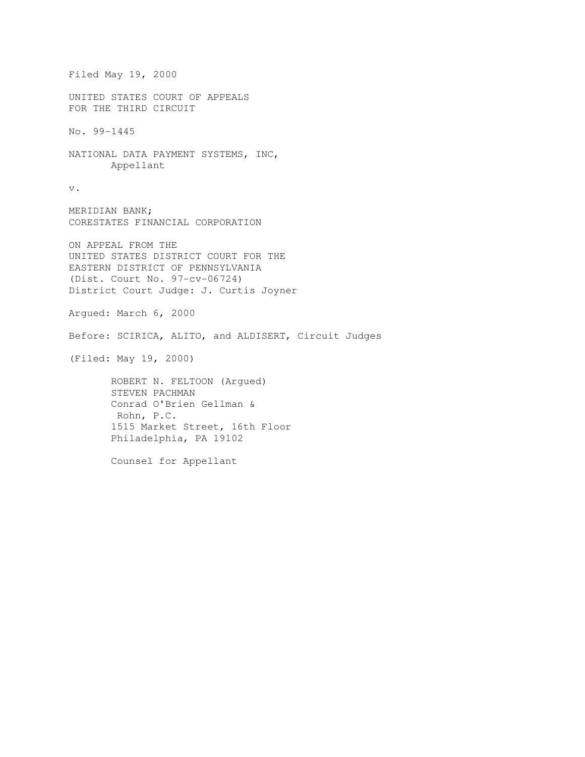```
Filed May 19, 2000 
UNITED STATES COURT OF APPEALS 
FOR THE THIRD CIRCUIT 
No. 99-1445 
NATIONAL DATA PAYMENT SYSTEMS, INC, 
        Appellant 
v. 
MERIDIAN BANK; 
CORESTATES FINANCIAL CORPORATION 
ON APPEAL FROM THE 
UNITED STATES DISTRICT COURT FOR THE 
EASTERN DISTRICT OF PENNSYLVANIA 
(Dist. Court No. 97-cv-06724) 
District Court Judge: J. Curtis Joyner 
Argued: March 6, 2000 
Before: SCIRICA, ALITO, and ALDISERT, Circuit Judges 
(Filed: May 19, 2000) 
        ROBERT N. FELTOON (Argued) 
        STEVEN PACHMAN 
        Conrad O'Brien Gellman & 
        Rohn, P.C. 
        1515 Market Street, 16th Floor 
        Philadelphia, PA 19102 
        Counsel for Appellant
```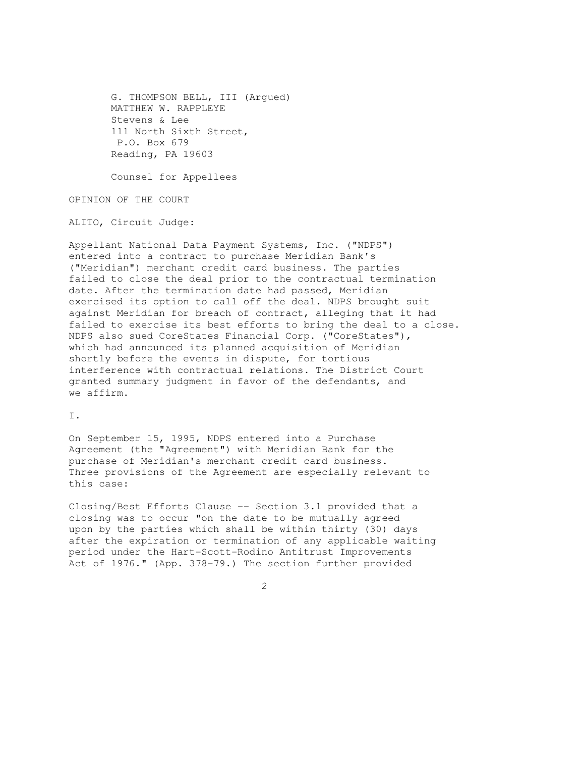G. THOMPSON BELL, III (Argued) MATTHEW W. RAPPLEYE Stevens & Lee 111 North Sixth Street, P.O. Box 679 Reading, PA 19603

Counsel for Appellees

OPINION OF THE COURT

ALITO, Circuit Judge:

Appellant National Data Payment Systems, Inc. ("NDPS") entered into a contract to purchase Meridian Bank's ("Meridian") merchant credit card business. The parties failed to close the deal prior to the contractual termination date. After the termination date had passed, Meridian exercised its option to call off the deal. NDPS brought suit against Meridian for breach of contract, alleging that it had failed to exercise its best efforts to bring the deal to a close. NDPS also sued CoreStates Financial Corp. ("CoreStates"), which had announced its planned acquisition of Meridian shortly before the events in dispute, for tortious interference with contractual relations. The District Court granted summary judgment in favor of the defendants, and we affirm.

I.

On September 15, 1995, NDPS entered into a Purchase Agreement (the "Agreement") with Meridian Bank for the purchase of Meridian's merchant credit card business. Three provisions of the Agreement are especially relevant to this case:

Closing/Best Efforts Clause -- Section 3.1 provided that a closing was to occur "on the date to be mutually agreed upon by the parties which shall be within thirty (30) days after the expiration or termination of any applicable waiting period under the Hart-Scott-Rodino Antitrust Improvements Act of 1976." (App. 378-79.) The section further provided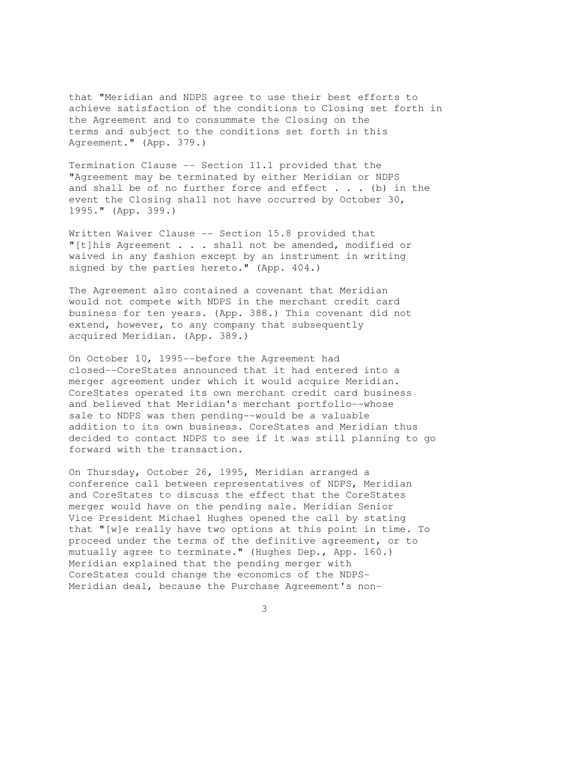that "Meridian and NDPS agree to use their best efforts to achieve satisfaction of the conditions to Closing set forth in the Agreement and to consummate the Closing on the terms and subject to the conditions set forth in this Agreement." (App. 379.)

Termination Clause -- Section 11.1 provided that the "Agreement may be terminated by either Meridian or NDPS and shall be of no further force and effect . . . (b) in the event the Closing shall not have occurred by October 30, 1995." (App. 399.)

Written Waiver Clause -- Section 15.8 provided that "[t]his Agreement . . . shall not be amended, modified or waived in any fashion except by an instrument in writing signed by the parties hereto." (App. 404.)

The Agreement also contained a covenant that Meridian would not compete with NDPS in the merchant credit card business for ten years. (App. 388.) This covenant did not extend, however, to any company that subsequently acquired Meridian. (App. 389.)

On October 10, 1995--before the Agreement had closed--CoreStates announced that it had entered into a merger agreement under which it would acquire Meridian. CoreStates operated its own merchant credit card business and believed that Meridian's merchant portfolio--whose sale to NDPS was then pending--would be a valuable addition to its own business. CoreStates and Meridian thus decided to contact NDPS to see if it was still planning to go forward with the transaction.

On Thursday, October 26, 1995, Meridian arranged a conference call between representatives of NDPS, Meridian and CoreStates to discuss the effect that the CoreStates merger would have on the pending sale. Meridian Senior Vice President Michael Hughes opened the call by stating that "[w]e really have two options at this point in time. To proceed under the terms of the definitive agreement, or to mutually agree to terminate." (Hughes Dep., App. 160.) Meridian explained that the pending merger with CoreStates could change the economics of the NDPS-Meridian deal, because the Purchase Agreement's non-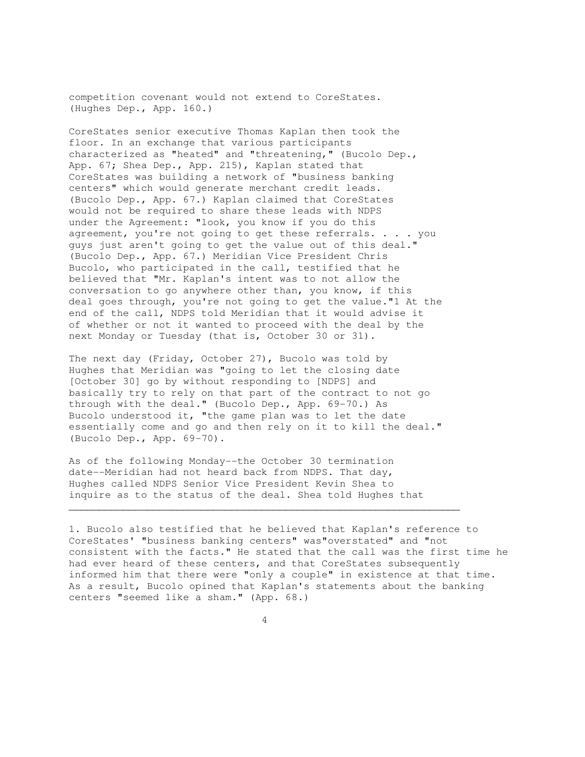competition covenant would not extend to CoreStates. (Hughes Dep., App. 160.)

CoreStates senior executive Thomas Kaplan then took the floor. In an exchange that various participants characterized as "heated" and "threatening," (Bucolo Dep., App. 67; Shea Dep., App. 215), Kaplan stated that CoreStates was building a network of "business banking centers" which would generate merchant credit leads. (Bucolo Dep., App. 67.) Kaplan claimed that CoreStates would not be required to share these leads with NDPS under the Agreement: "look, you know if you do this agreement, you're not going to get these referrals. . . . you guys just aren't going to get the value out of this deal." (Bucolo Dep., App. 67.) Meridian Vice President Chris Bucolo, who participated in the call, testified that he believed that "Mr. Kaplan's intent was to not allow the conversation to go anywhere other than, you know, if this deal goes through, you're not going to get the value."1 At the end of the call, NDPS told Meridian that it would advise it of whether or not it wanted to proceed with the deal by the next Monday or Tuesday (that is, October 30 or 31).

The next day (Friday, October 27), Bucolo was told by Hughes that Meridian was "going to let the closing date [October 30] go by without responding to [NDPS] and basically try to rely on that part of the contract to not go through with the deal." (Bucolo Dep., App. 69-70.) As Bucolo understood it, "the game plan was to let the date essentially come and go and then rely on it to kill the deal." (Bucolo Dep., App. 69-70).

As of the following Monday--the October 30 termination date--Meridian had not heard back from NDPS. That day, Hughes called NDPS Senior Vice President Kevin Shea to inquire as to the status of the deal. Shea told Hughes that

1. Bucolo also testified that he believed that Kaplan's reference to CoreStates' "business banking centers" was"overstated" and "not consistent with the facts." He stated that the call was the first time he had ever heard of these centers, and that CoreStates subsequently informed him that there were "only a couple" in existence at that time. As a result, Bucolo opined that Kaplan's statements about the banking centers "seemed like a sham." (App. 68.)

 $\mathcal{L}_\mathcal{L}$  , and the set of the set of the set of the set of the set of the set of the set of the set of the set of the set of the set of the set of the set of the set of the set of the set of the set of the set of th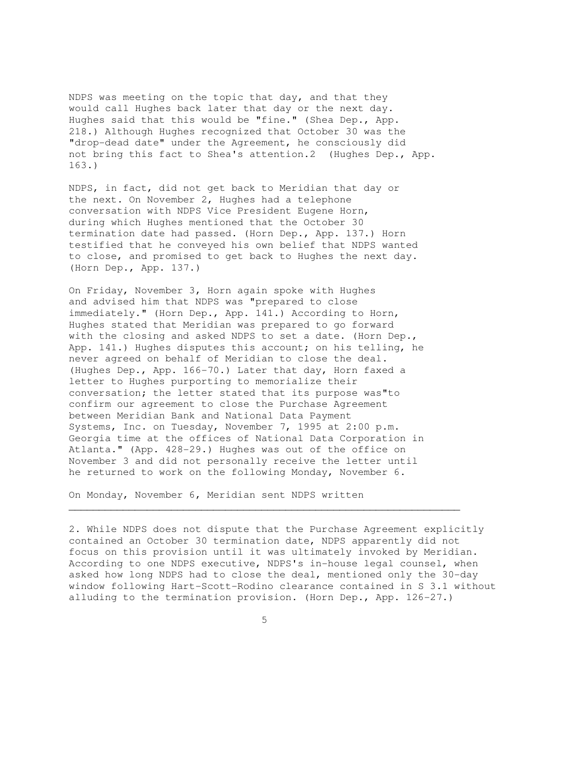NDPS was meeting on the topic that day, and that they would call Hughes back later that day or the next day. Hughes said that this would be "fine." (Shea Dep., App. 218.) Although Hughes recognized that October 30 was the "drop-dead date" under the Agreement, he consciously did not bring this fact to Shea's attention.2 (Hughes Dep., App. 163.)

NDPS, in fact, did not get back to Meridian that day or the next. On November 2, Hughes had a telephone conversation with NDPS Vice President Eugene Horn, during which Hughes mentioned that the October 30 termination date had passed. (Horn Dep., App. 137.) Horn testified that he conveyed his own belief that NDPS wanted to close, and promised to get back to Hughes the next day. (Horn Dep., App. 137.)

On Friday, November 3, Horn again spoke with Hughes and advised him that NDPS was "prepared to close immediately." (Horn Dep., App. 141.) According to Horn, Hughes stated that Meridian was prepared to go forward with the closing and asked NDPS to set a date. (Horn Dep., App. 141.) Hughes disputes this account; on his telling, he never agreed on behalf of Meridian to close the deal. (Hughes Dep., App. 166-70.) Later that day, Horn faxed a letter to Hughes purporting to memorialize their conversation; the letter stated that its purpose was"to confirm our agreement to close the Purchase Agreement between Meridian Bank and National Data Payment Systems, Inc. on Tuesday, November 7, 1995 at 2:00 p.m. Georgia time at the offices of National Data Corporation in Atlanta." (App. 428-29.) Hughes was out of the office on November 3 and did not personally receive the letter until he returned to work on the following Monday, November 6.

On Monday, November 6, Meridian sent NDPS written

2. While NDPS does not dispute that the Purchase Agreement explicitly contained an October 30 termination date, NDPS apparently did not focus on this provision until it was ultimately invoked by Meridian. According to one NDPS executive, NDPS's in-house legal counsel, when asked how long NDPS had to close the deal, mentioned only the 30-day window following Hart-Scott-Rodino clearance contained in S 3.1 without alluding to the termination provision. (Horn Dep., App. 126-27.)

 $\mathcal{L}_\mathcal{L}$  , and the set of the set of the set of the set of the set of the set of the set of the set of the set of the set of the set of the set of the set of the set of the set of the set of the set of the set of th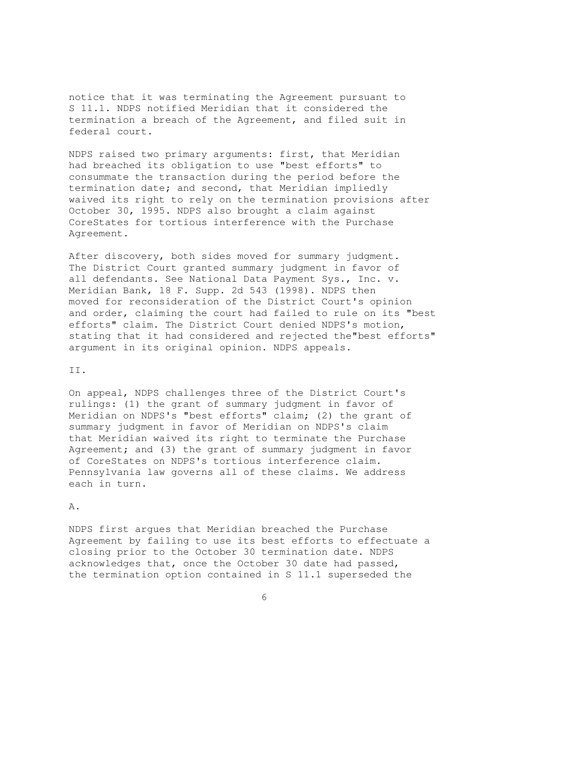notice that it was terminating the Agreement pursuant to S 11.1. NDPS notified Meridian that it considered the termination a breach of the Agreement, and filed suit in federal court.

NDPS raised two primary arguments: first, that Meridian had breached its obligation to use "best efforts" to consummate the transaction during the period before the termination date; and second, that Meridian impliedly waived its right to rely on the termination provisions after October 30, 1995. NDPS also brought a claim against CoreStates for tortious interference with the Purchase Agreement.

After discovery, both sides moved for summary judgment. The District Court granted summary judgment in favor of all defendants. See National Data Payment Sys., Inc. v. Meridian Bank, 18 F. Supp. 2d 543 (1998). NDPS then moved for reconsideration of the District Court's opinion and order, claiming the court had failed to rule on its "best efforts" claim. The District Court denied NDPS's motion, stating that it had considered and rejected the"best efforts" argument in its original opinion. NDPS appeals.

## II.

On appeal, NDPS challenges three of the District Court's rulings: (1) the grant of summary judgment in favor of Meridian on NDPS's "best efforts" claim; (2) the grant of summary judgment in favor of Meridian on NDPS's claim that Meridian waived its right to terminate the Purchase Agreement; and (3) the grant of summary judgment in favor of CoreStates on NDPS's tortious interference claim. Pennsylvania law governs all of these claims. We address each in turn.

## A.

NDPS first argues that Meridian breached the Purchase Agreement by failing to use its best efforts to effectuate a closing prior to the October 30 termination date. NDPS acknowledges that, once the October 30 date had passed, the termination option contained in S 11.1 superseded the

 $\sim$  6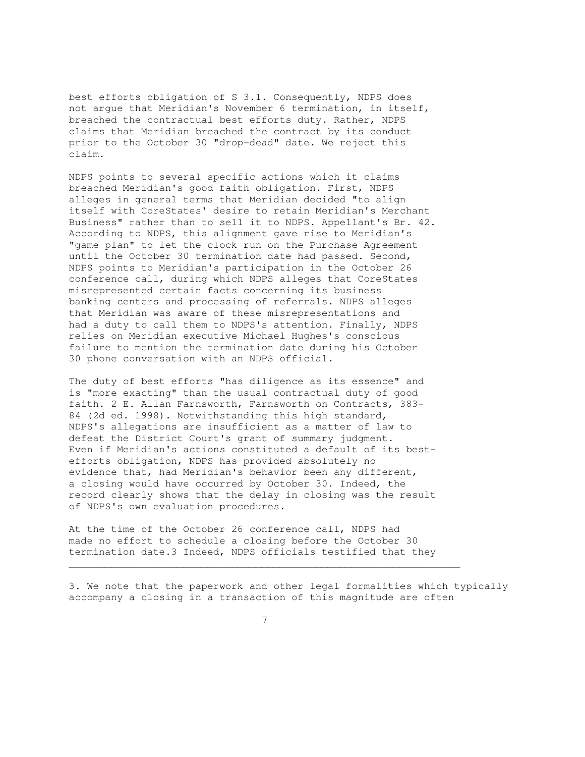best efforts obligation of S 3.1. Consequently, NDPS does not argue that Meridian's November 6 termination, in itself, breached the contractual best efforts duty. Rather, NDPS claims that Meridian breached the contract by its conduct prior to the October 30 "drop-dead" date. We reject this claim.

NDPS points to several specific actions which it claims breached Meridian's good faith obligation. First, NDPS alleges in general terms that Meridian decided "to align itself with CoreStates' desire to retain Meridian's Merchant Business" rather than to sell it to NDPS. Appellant's Br. 42. According to NDPS, this alignment gave rise to Meridian's "game plan" to let the clock run on the Purchase Agreement until the October 30 termination date had passed. Second, NDPS points to Meridian's participation in the October 26 conference call, during which NDPS alleges that CoreStates misrepresented certain facts concerning its business banking centers and processing of referrals. NDPS alleges that Meridian was aware of these misrepresentations and had a duty to call them to NDPS's attention. Finally, NDPS relies on Meridian executive Michael Hughes's conscious failure to mention the termination date during his October 30 phone conversation with an NDPS official.

The duty of best efforts "has diligence as its essence" and is "more exacting" than the usual contractual duty of good faith. 2 E. Allan Farnsworth, Farnsworth on Contracts, 383- 84 (2d ed. 1998). Notwithstanding this high standard, NDPS's allegations are insufficient as a matter of law to defeat the District Court's grant of summary judgment. Even if Meridian's actions constituted a default of its bestefforts obligation, NDPS has provided absolutely no evidence that, had Meridian's behavior been any different, a closing would have occurred by October 30. Indeed, the record clearly shows that the delay in closing was the result of NDPS's own evaluation procedures.

At the time of the October 26 conference call, NDPS had made no effort to schedule a closing before the October 30 termination date.3 Indeed, NDPS officials testified that they

3. We note that the paperwork and other legal formalities which typically accompany a closing in a transaction of this magnitude are often

 $\mathcal{L}_\mathcal{L} = \{ \mathcal{L}_\mathcal{L} = \{ \mathcal{L}_\mathcal{L} = \{ \mathcal{L}_\mathcal{L} = \{ \mathcal{L}_\mathcal{L} = \{ \mathcal{L}_\mathcal{L} = \{ \mathcal{L}_\mathcal{L} = \{ \mathcal{L}_\mathcal{L} = \{ \mathcal{L}_\mathcal{L} = \{ \mathcal{L}_\mathcal{L} = \{ \mathcal{L}_\mathcal{L} = \{ \mathcal{L}_\mathcal{L} = \{ \mathcal{L}_\mathcal{L} = \{ \mathcal{L}_\mathcal{L} = \{ \mathcal{L}_\mathcal{$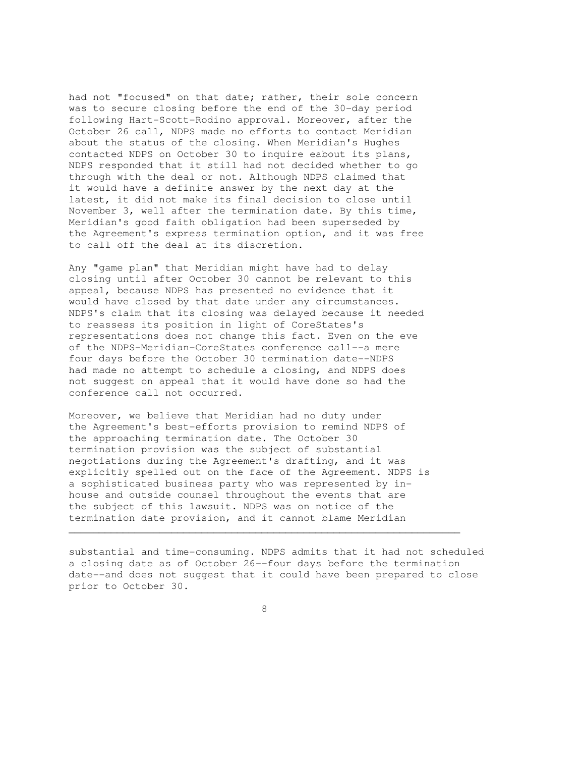had not "focused" on that date; rather, their sole concern was to secure closing before the end of the 30-day period following Hart-Scott-Rodino approval. Moreover, after the October 26 call, NDPS made no efforts to contact Meridian about the status of the closing. When Meridian's Hughes contacted NDPS on October 30 to inquire eabout its plans, NDPS responded that it still had not decided whether to go through with the deal or not. Although NDPS claimed that it would have a definite answer by the next day at the latest, it did not make its final decision to close until November 3, well after the termination date. By this time, Meridian's good faith obligation had been superseded by the Agreement's express termination option, and it was free to call off the deal at its discretion.

Any "game plan" that Meridian might have had to delay closing until after October 30 cannot be relevant to this appeal, because NDPS has presented no evidence that it would have closed by that date under any circumstances. NDPS's claim that its closing was delayed because it needed to reassess its position in light of CoreStates's representations does not change this fact. Even on the eve of the NDPS-Meridian-CoreStates conference call--a mere four days before the October 30 termination date--NDPS had made no attempt to schedule a closing, and NDPS does not suggest on appeal that it would have done so had the conference call not occurred.

Moreover, we believe that Meridian had no duty under the Agreement's best-efforts provision to remind NDPS of the approaching termination date. The October 30 termination provision was the subject of substantial negotiations during the Agreement's drafting, and it was explicitly spelled out on the face of the Agreement. NDPS is a sophisticated business party who was represented by inhouse and outside counsel throughout the events that are the subject of this lawsuit. NDPS was on notice of the termination date provision, and it cannot blame Meridian

substantial and time-consuming. NDPS admits that it had not scheduled a closing date as of October 26--four days before the termination date--and does not suggest that it could have been prepared to close prior to October 30.

 $\mathcal{L}_\mathcal{L} = \{ \mathcal{L}_\mathcal{L} = \{ \mathcal{L}_\mathcal{L} = \{ \mathcal{L}_\mathcal{L} = \{ \mathcal{L}_\mathcal{L} = \{ \mathcal{L}_\mathcal{L} = \{ \mathcal{L}_\mathcal{L} = \{ \mathcal{L}_\mathcal{L} = \{ \mathcal{L}_\mathcal{L} = \{ \mathcal{L}_\mathcal{L} = \{ \mathcal{L}_\mathcal{L} = \{ \mathcal{L}_\mathcal{L} = \{ \mathcal{L}_\mathcal{L} = \{ \mathcal{L}_\mathcal{L} = \{ \mathcal{L}_\mathcal{$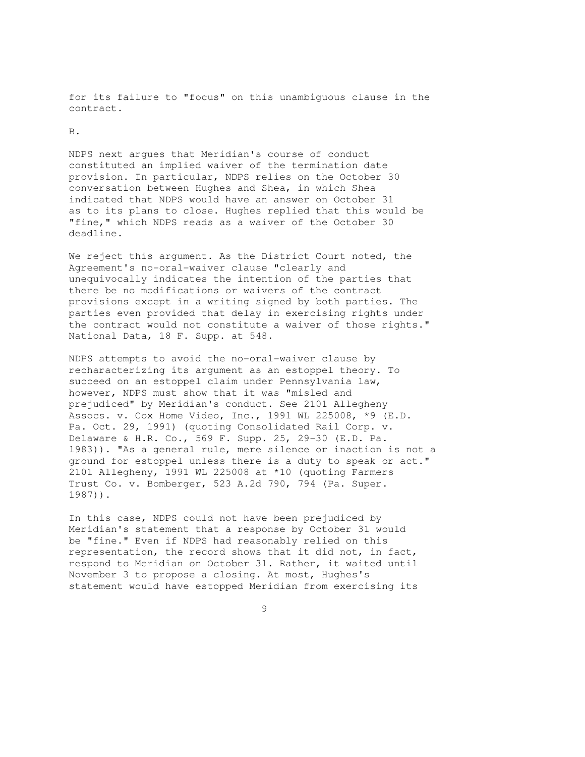for its failure to "focus" on this unambiguous clause in the contract.

B.

NDPS next argues that Meridian's course of conduct constituted an implied waiver of the termination date provision. In particular, NDPS relies on the October 30 conversation between Hughes and Shea, in which Shea indicated that NDPS would have an answer on October 31 as to its plans to close. Hughes replied that this would be "fine," which NDPS reads as a waiver of the October 30 deadline.

We reject this argument. As the District Court noted, the Agreement's no-oral-waiver clause "clearly and unequivocally indicates the intention of the parties that there be no modifications or waivers of the contract provisions except in a writing signed by both parties. The parties even provided that delay in exercising rights under the contract would not constitute a waiver of those rights." National Data, 18 F. Supp. at 548.

NDPS attempts to avoid the no-oral-waiver clause by recharacterizing its argument as an estoppel theory. To succeed on an estoppel claim under Pennsylvania law, however, NDPS must show that it was "misled and prejudiced" by Meridian's conduct. See 2101 Allegheny Assocs. v. Cox Home Video, Inc., 1991 WL 225008, \*9 (E.D. Pa. Oct. 29, 1991) (quoting Consolidated Rail Corp. v. Delaware & H.R. Co., 569 F. Supp. 25, 29-30 (E.D. Pa. 1983)). "As a general rule, mere silence or inaction is not a ground for estoppel unless there is a duty to speak or act." 2101 Allegheny, 1991 WL 225008 at \*10 (quoting Farmers Trust Co. v. Bomberger, 523 A.2d 790, 794 (Pa. Super. 1987)).

In this case, NDPS could not have been prejudiced by Meridian's statement that a response by October 31 would be "fine." Even if NDPS had reasonably relied on this representation, the record shows that it did not, in fact, respond to Meridian on October 31. Rather, it waited until November 3 to propose a closing. At most, Hughes's statement would have estopped Meridian from exercising its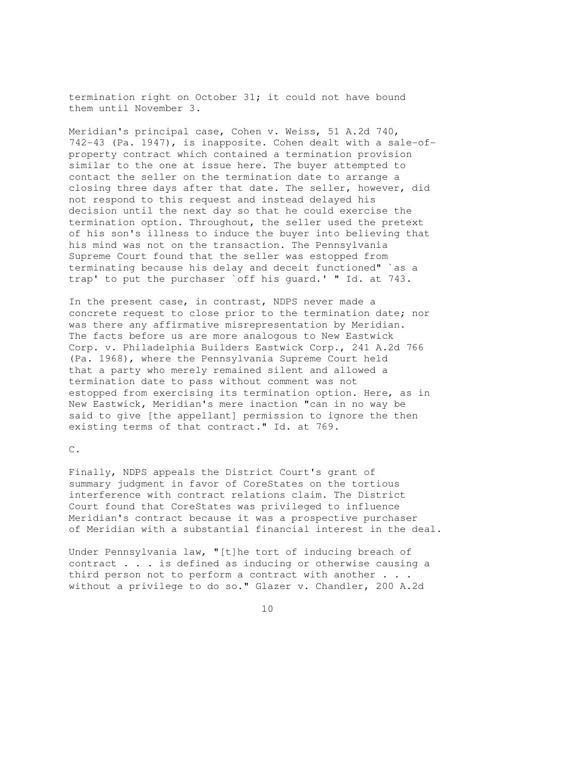termination right on October 31; it could not have bound them until November 3.

Meridian's principal case, Cohen v. Weiss, 51 A.2d 740, 742-43 (Pa. 1947), is inapposite. Cohen dealt with a sale-ofproperty contract which contained a termination provision similar to the one at issue here. The buyer attempted to contact the seller on the termination date to arrange a closing three days after that date. The seller, however, did not respond to this request and instead delayed his decision until the next day so that he could exercise the termination option. Throughout, the seller used the pretext of his son's illness to induce the buyer into believing that his mind was not on the transaction. The Pennsylvania Supreme Court found that the seller was estopped from terminating because his delay and deceit functioned" `as a trap' to put the purchaser `off his guard.' " Id. at 743.

In the present case, in contrast, NDPS never made a concrete request to close prior to the termination date; nor was there any affirmative misrepresentation by Meridian. The facts before us are more analogous to New Eastwick Corp. v. Philadelphia Builders Eastwick Corp., 241 A.2d 766 (Pa. 1968), where the Pennsylvania Supreme Court held that a party who merely remained silent and allowed a termination date to pass without comment was not estopped from exercising its termination option. Here, as in New Eastwick, Meridian's mere inaction "can in no way be said to give [the appellant] permission to ignore the then existing terms of that contract." Id. at 769.

C.

Finally, NDPS appeals the District Court's grant of summary judgment in favor of CoreStates on the tortious interference with contract relations claim. The District Court found that CoreStates was privileged to influence Meridian's contract because it was a prospective purchaser of Meridian with a substantial financial interest in the deal.

Under Pennsylvania law, "[t]he tort of inducing breach of contract . . . is defined as inducing or otherwise causing a third person not to perform a contract with another . . . without a privilege to do so." Glazer v. Chandler, 200 A.2d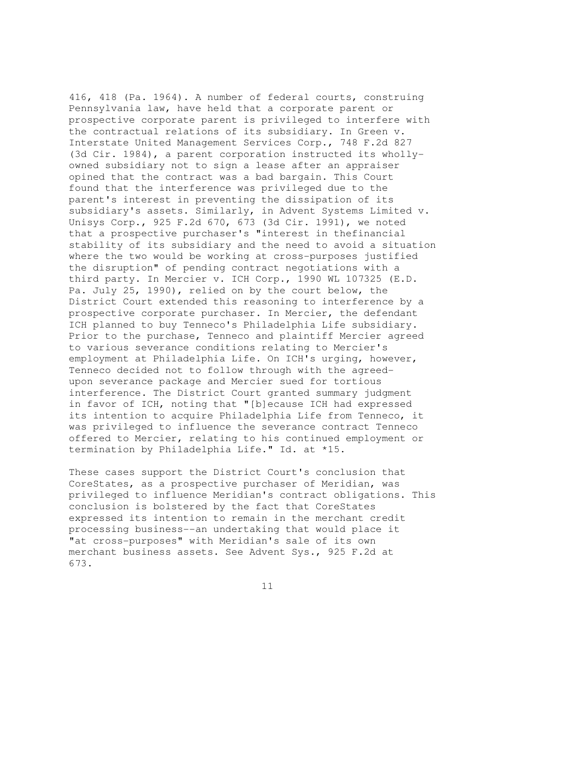416, 418 (Pa. 1964). A number of federal courts, construing Pennsylvania law, have held that a corporate parent or prospective corporate parent is privileged to interfere with the contractual relations of its subsidiary. In Green v. Interstate United Management Services Corp., 748 F.2d 827 (3d Cir. 1984), a parent corporation instructed its whollyowned subsidiary not to sign a lease after an appraiser opined that the contract was a bad bargain. This Court found that the interference was privileged due to the parent's interest in preventing the dissipation of its subsidiary's assets. Similarly, in Advent Systems Limited v. Unisys Corp., 925 F.2d 670, 673 (3d Cir. 1991), we noted that a prospective purchaser's "interest in thefinancial stability of its subsidiary and the need to avoid a situation where the two would be working at cross-purposes justified the disruption" of pending contract negotiations with a third party. In Mercier v. ICH Corp., 1990 WL 107325 (E.D. Pa. July 25, 1990), relied on by the court below, the District Court extended this reasoning to interference by a prospective corporate purchaser. In Mercier, the defendant ICH planned to buy Tenneco's Philadelphia Life subsidiary. Prior to the purchase, Tenneco and plaintiff Mercier agreed to various severance conditions relating to Mercier's employment at Philadelphia Life. On ICH's urging, however, Tenneco decided not to follow through with the agreedupon severance package and Mercier sued for tortious interference. The District Court granted summary judgment in favor of ICH, noting that "[b]ecause ICH had expressed its intention to acquire Philadelphia Life from Tenneco, it was privileged to influence the severance contract Tenneco offered to Mercier, relating to his continued employment or termination by Philadelphia Life." Id. at \*15.

These cases support the District Court's conclusion that CoreStates, as a prospective purchaser of Meridian, was privileged to influence Meridian's contract obligations. This conclusion is bolstered by the fact that CoreStates expressed its intention to remain in the merchant credit processing business--an undertaking that would place it "at cross-purposes" with Meridian's sale of its own merchant business assets. See Advent Sys., 925 F.2d at 673.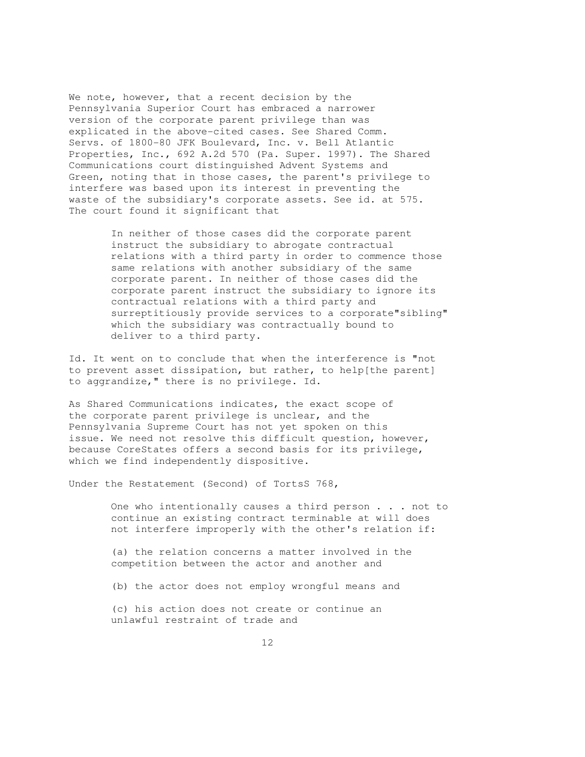We note, however, that a recent decision by the Pennsylvania Superior Court has embraced a narrower version of the corporate parent privilege than was explicated in the above-cited cases. See Shared Comm. Servs. of 1800-80 JFK Boulevard, Inc. v. Bell Atlantic Properties, Inc., 692 A.2d 570 (Pa. Super. 1997). The Shared Communications court distinguished Advent Systems and Green, noting that in those cases, the parent's privilege to interfere was based upon its interest in preventing the waste of the subsidiary's corporate assets. See id. at 575. The court found it significant that

> In neither of those cases did the corporate parent instruct the subsidiary to abrogate contractual relations with a third party in order to commence those same relations with another subsidiary of the same corporate parent. In neither of those cases did the corporate parent instruct the subsidiary to ignore its contractual relations with a third party and surreptitiously provide services to a corporate"sibling" which the subsidiary was contractually bound to deliver to a third party.

Id. It went on to conclude that when the interference is "not to prevent asset dissipation, but rather, to help[the parent] to aggrandize," there is no privilege. Id.

As Shared Communications indicates, the exact scope of the corporate parent privilege is unclear, and the Pennsylvania Supreme Court has not yet spoken on this issue. We need not resolve this difficult question, however, because CoreStates offers a second basis for its privilege, which we find independently dispositive.

Under the Restatement (Second) of TortsS 768,

 One who intentionally causes a third person . . . not to continue an existing contract terminable at will does not interfere improperly with the other's relation if:

 (a) the relation concerns a matter involved in the competition between the actor and another and

(b) the actor does not employ wrongful means and

 (c) his action does not create or continue an unlawful restraint of trade and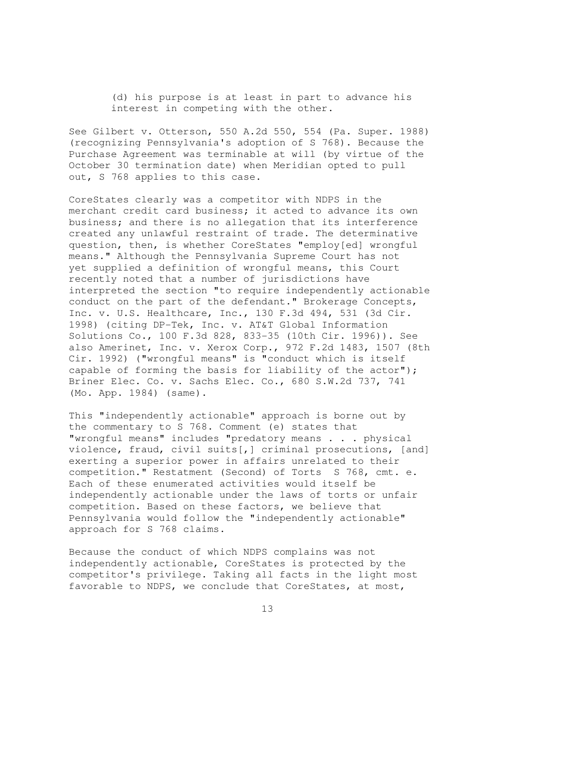(d) his purpose is at least in part to advance his interest in competing with the other.

See Gilbert v. Otterson, 550 A.2d 550, 554 (Pa. Super. 1988) (recognizing Pennsylvania's adoption of S 768). Because the Purchase Agreement was terminable at will (by virtue of the October 30 termination date) when Meridian opted to pull out, S 768 applies to this case.

CoreStates clearly was a competitor with NDPS in the merchant credit card business; it acted to advance its own business; and there is no allegation that its interference created any unlawful restraint of trade. The determinative question, then, is whether CoreStates "employ[ed] wrongful means." Although the Pennsylvania Supreme Court has not yet supplied a definition of wrongful means, this Court recently noted that a number of jurisdictions have interpreted the section "to require independently actionable conduct on the part of the defendant." Brokerage Concepts, Inc. v. U.S. Healthcare, Inc., 130 F.3d 494, 531 (3d Cir. 1998) (citing DP-Tek, Inc. v. AT&T Global Information Solutions Co., 100 F.3d 828, 833-35 (10th Cir. 1996)). See also Amerinet, Inc. v. Xerox Corp., 972 F.2d 1483, 1507 (8th Cir. 1992) ("wrongful means" is "conduct which is itself capable of forming the basis for liability of the actor"); Briner Elec. Co. v. Sachs Elec. Co., 680 S.W.2d 737, 741 (Mo. App. 1984) (same).

This "independently actionable" approach is borne out by the commentary to S 768. Comment (e) states that "wrongful means" includes "predatory means . . . physical violence, fraud, civil suits[,] criminal prosecutions, [and] exerting a superior power in affairs unrelated to their competition." Restatment (Second) of Torts S 768, cmt. e. Each of these enumerated activities would itself be independently actionable under the laws of torts or unfair competition. Based on these factors, we believe that Pennsylvania would follow the "independently actionable" approach for S 768 claims.

Because the conduct of which NDPS complains was not independently actionable, CoreStates is protected by the competitor's privilege. Taking all facts in the light most favorable to NDPS, we conclude that CoreStates, at most,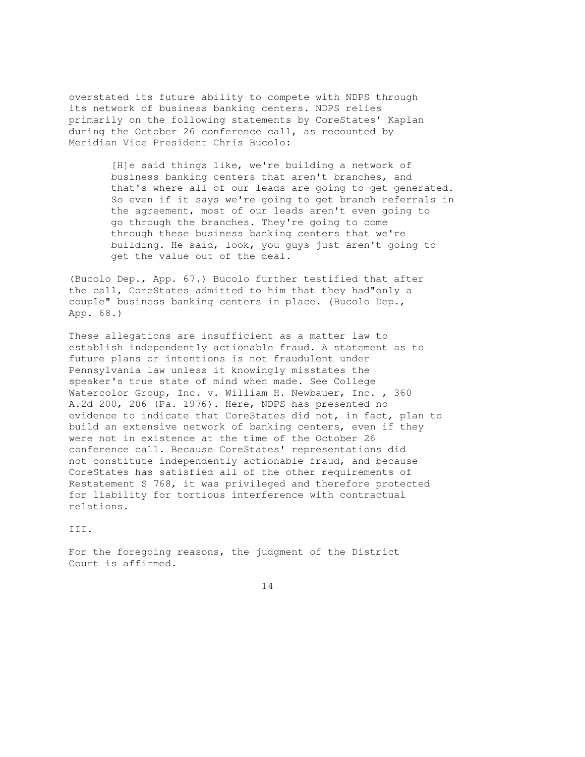overstated its future ability to compete with NDPS through its network of business banking centers. NDPS relies primarily on the following statements by CoreStates' Kaplan during the October 26 conference call, as recounted by Meridian Vice President Chris Bucolo:

> [H]e said things like, we're building a network of business banking centers that aren't branches, and that's where all of our leads are going to get generated. So even if it says we're going to get branch referrals in the agreement, most of our leads aren't even going to go through the branches. They're going to come through these business banking centers that we're building. He said, look, you guys just aren't going to get the value out of the deal.

(Bucolo Dep., App. 67.) Bucolo further testified that after the call, CoreStates admitted to him that they had"only a couple" business banking centers in place. (Bucolo Dep., App. 68.)

These allegations are insufficient as a matter law to establish independently actionable fraud. A statement as to future plans or intentions is not fraudulent under Pennsylvania law unless it knowingly misstates the speaker's true state of mind when made. See College Watercolor Group, Inc. v. William H. Newbauer, Inc. , 360 A.2d 200, 206 (Pa. 1976). Here, NDPS has presented no evidence to indicate that CoreStates did not, in fact, plan to build an extensive network of banking centers, even if they were not in existence at the time of the October 26 conference call. Because CoreStates' representations did not constitute independently actionable fraud, and because CoreStates has satisfied all of the other requirements of Restatement S 768, it was privileged and therefore protected for liability for tortious interference with contractual relations.

III.

For the foregoing reasons, the judgment of the District Court is affirmed.